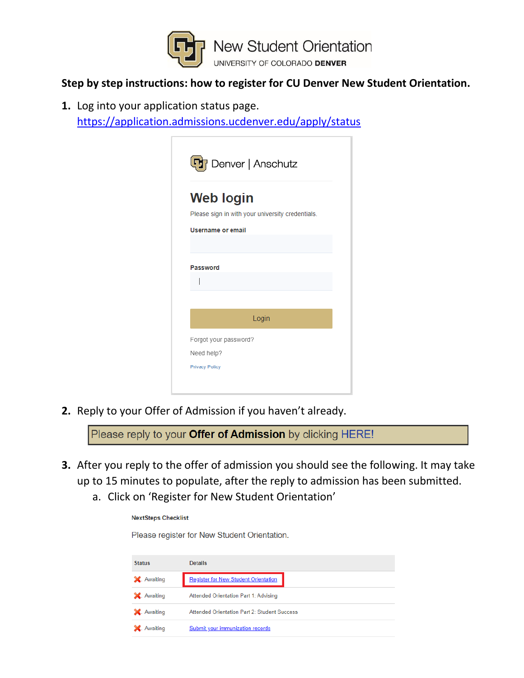

#### **Step by step instructions: how to register for CU Denver New Student Orientation.**

**1.** Log into your application status page.

<https://application.admissions.ucdenver.edu/apply/status>

| <b>Web login</b>         |                                                  |
|--------------------------|--------------------------------------------------|
|                          | Please sign in with your university credentials. |
| <b>Username or email</b> |                                                  |
|                          |                                                  |
|                          |                                                  |
| <b>Password</b>          |                                                  |
|                          |                                                  |
|                          |                                                  |
|                          |                                                  |
|                          | Login                                            |
| Forgot your password?    |                                                  |
|                          |                                                  |

**2.** Reply to your Offer of Admission if you haven't already.

Please reply to your Offer of Admission by clicking HERE!

- **3.** After you reply to the offer of admission you should see the following. It may take up to 15 minutes to populate, after the reply to admission has been submitted.
	- a. Click on 'Register for New Student Orientation'

| <b>NextSteps Checklist</b> |                                              |  |
|----------------------------|----------------------------------------------|--|
|                            | Please register for New Student Orientation. |  |
| <b>Status</b>              | <b>Details</b>                               |  |
| X. Awaiting                | <b>Register for New Student Orientation</b>  |  |
| X. Awaiting                | Attended Orientation Part 1: Advising        |  |
| X. Awaiting                | Attended Orientation Part 2: Student Success |  |
| Awaiting                   | Submit your immunization records             |  |
|                            |                                              |  |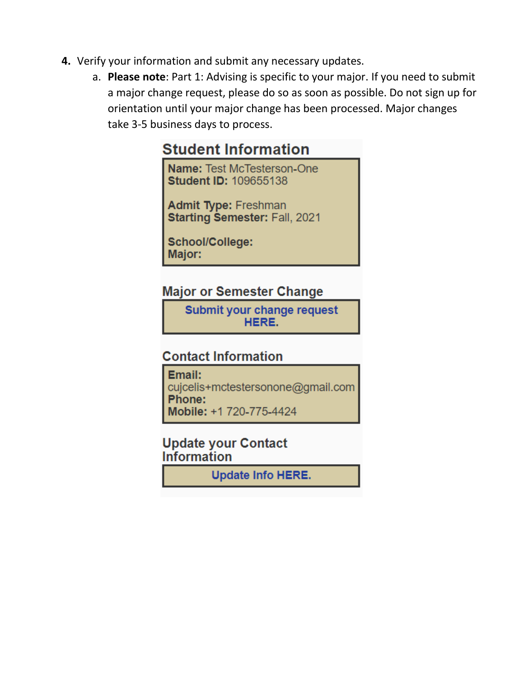- 4. Verify your information and submit any necessary updates.
	- a. Please note: Part 1: Advising is specific to your major. If you need to submit a major change request, please do so as soon as possible. Do not sign up for orientation until your major change has been processed. Major changes take 3-5 business days to process.

# **Student Information**

Name: Test McTesterson-One **Student ID: 109655138** 

**Admit Type: Freshman** Starting Semester: Fall, 2021

School/College: Major:

## **Major or Semester Change**

Submit your change request HERE.

## **Contact Information**

Email: cujcelis+mctestersonone@gmail.com Phone: Mobile: +1 720-775-4424

### **Update your Contact Information**

**Update Info HERE.**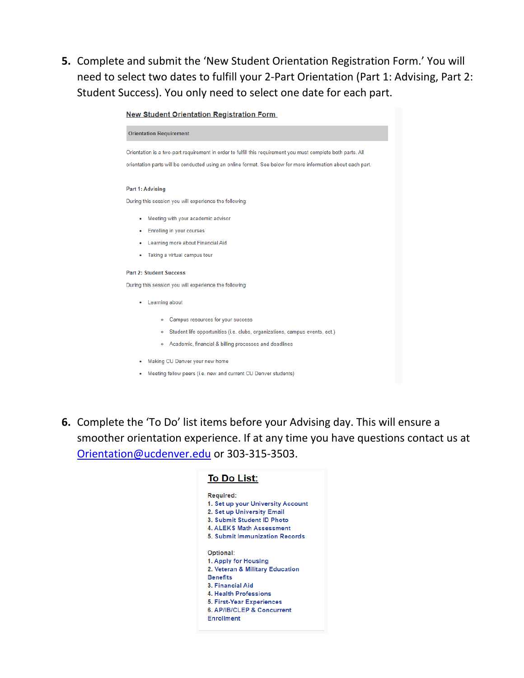**5.** Complete and submit the 'New Student Orientation Registration Form.' You will need to select two dates to fulfill your 2-Part Orientation (Part 1: Advising, Part 2: Student Success). You only need to select one date for each part.

**New Student Orientation Registration Form** 



**6.** Complete the 'To Do' list items before your Advising day. This will ensure a smoother orientation experience. If at any time you have questions contact us at [Orientation@ucdenver.edu](mailto:Orientation@ucdenver.edu) or 303-315-3503.

| <b>To Do List:</b>                                                                                                                                                                                                   |
|----------------------------------------------------------------------------------------------------------------------------------------------------------------------------------------------------------------------|
| Required:<br>1. Set up your University Account<br>2. Set up University Email<br>3. Submit Student ID Photo<br><b>4. ALEKS Math Assessment</b><br>5. Submit Immunization Records                                      |
| Optional:<br>1. Apply for Housing<br>2. Veteran & Military Education<br><b>Benefits</b><br>3. Financial Aid<br>4. Health Professions<br>5. First-Year Experiences<br>6. AP/IB/CLEP & Concurrent<br><b>Enrollment</b> |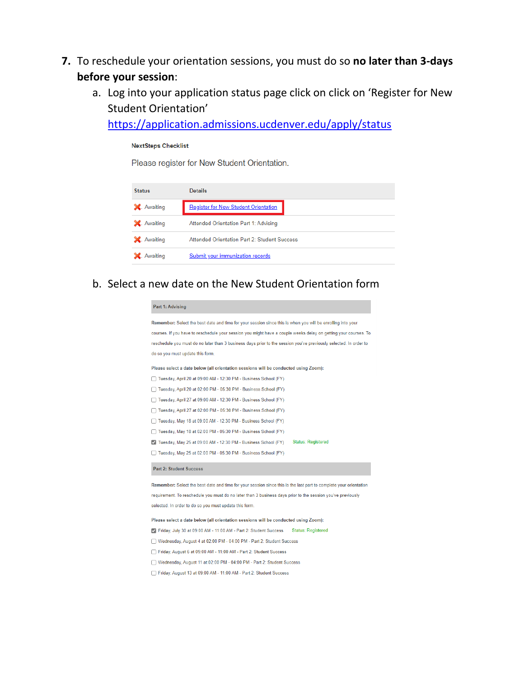- **7.** To reschedule your orientation sessions, you must do so **no later than 3-days before your session**:
	- a. Log into your application status page click on click on 'Register for New Student Orientation'

<https://application.admissions.ucdenver.edu/apply/status>

#### **NextSteps Checklist**

Please register for New Student Orientation.

| <b>Status</b> | <b>Details</b>                               |
|---------------|----------------------------------------------|
| X. Awaiting   | <b>Register for New Student Orientation</b>  |
| X. Awaiting   | Attended Orientation Part 1: Advising        |
| X. Awaiting   | Attended Orientation Part 2: Student Success |
| Awaiting      | Submit your immunization records             |

b. Select a new date on the New Student Orientation form

| <b>Part 1: Advising</b>                                                                                           |
|-------------------------------------------------------------------------------------------------------------------|
| Remember: Select the best date and time for your session since this is when you will be enrolling into your       |
| courses. If you have to reschedule your session you might have a couple weeks delay on getting your courses. To   |
| reschedule you must do no later than 3 business days prior to the session you've previously selected. In order to |
| do so you must update this form.                                                                                  |
| Please select a date below (all orientation sessions will be conducted using Zoom):                               |
| Tuesday, April 20 at 09:00 AM - 12:30 PM - Business School (FY)                                                   |
| Tuesday, April 20 at 02:00 PM - 05:30 PM - Business School (FY)                                                   |
| Tuesday, April 27 at 09:00 AM - 12:30 PM - Business School (FY)                                                   |
| Tuesday, April 27 at 02:00 PM - 05:30 PM - Business School (FY)                                                   |
| Tuesday, May 18 at 09:00 AM - 12:30 PM - Business School (FY)                                                     |
| Tuesday, May 18 at 02:00 PM - 05:30 PM - Business School (FY)                                                     |
| <b>Status: Registered</b><br>Tuesday, May 25 at 09:00 AM - 12:30 PM - Business School (FY)                        |
| Tuesday, May 25 at 02:00 PM - 05:30 PM - Business School (FY)                                                     |
| <b>Part 2: Student Success</b>                                                                                    |
| Remember: Select the best date and time for your session since this is the last part to complete your orientation |
| requirement. To reschedule you must do no later than 3 business days prior to the session you've previously       |
| selected. In order to do so you must update this form.                                                            |
| Please select a date below (all orientation sessions will be conducted using Zoom):                               |
| <b>Status: Registered</b><br>Friday, July 30 at 09:00 AM - 11:00 AM - Part 2: Student Success                     |
| Wednesday, August 4 at 02:00 PM - 04:00 PM - Part 2: Student Success                                              |
| Friday, August 6 at 09:00 AM - 11:00 AM - Part 2: Student Success                                                 |

- □ Wednesday, August 11 at 02:00 PM 04:00 PM Part 2: Student Success
- Friday, August 13 at 09:00 AM 11:00 AM Part 2: Student Success